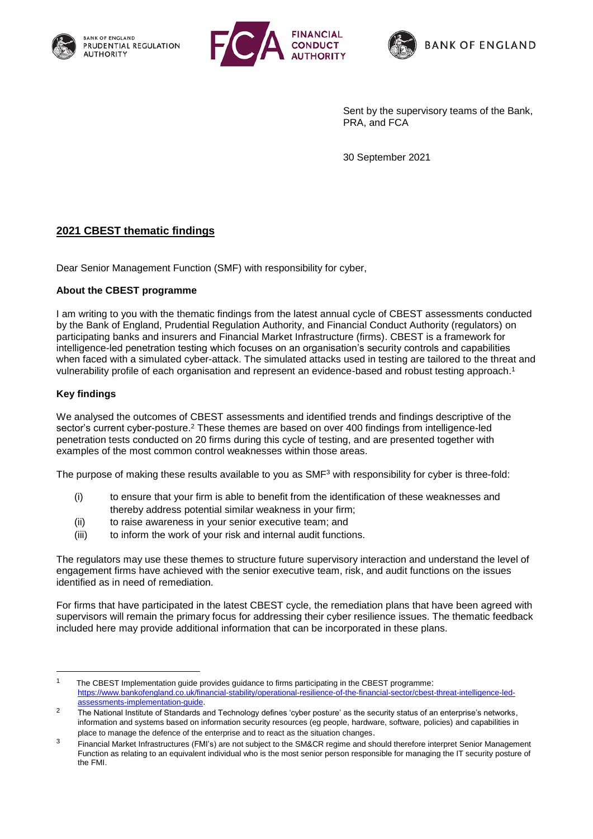





Sent by the supervisory teams of the Bank, PRA, and FCA

30 September 2021

## **2021 CBEST thematic findings**

Dear Senior Management Function (SMF) with responsibility for cyber,

## **About the CBEST programme**

I am writing to you with the thematic findings from the latest annual cycle of CBEST assessments conducted by the Bank of England, Prudential Regulation Authority, and Financial Conduct Authority (regulators) on participating banks and insurers and Financial Market Infrastructure (firms). CBEST is a framework for intelligence-led penetration testing which focuses on an organisation's security controls and capabilities when faced with a simulated cyber-attack. The simulated attacks used in testing are tailored to the threat and vulnerability profile of each organisation and represent an evidence-based and robust testing approach. 1

## **Key findings**

1

We analysed the outcomes of CBEST assessments and identified trends and findings descriptive of the sector's current cyber-posture.<sup>2</sup> These themes are based on over 400 findings from intelligence-led penetration tests conducted on 20 firms during this cycle of testing, and are presented together with examples of the most common control weaknesses within those areas.

The purpose of making these results available to you as SMF<sup>3</sup> with responsibility for cyber is three-fold:

- (i) to ensure that your firm is able to benefit from the identification of these weaknesses and thereby address potential similar weakness in your firm;
- (ii) to raise awareness in your senior executive team; and
- (iii) to inform the work of your risk and internal audit functions.

The regulators may use these themes to structure future supervisory interaction and understand the level of engagement firms have achieved with the senior executive team, risk, and audit functions on the issues identified as in need of remediation.

For firms that have participated in the latest CBEST cycle, the remediation plans that have been agreed with supervisors will remain the primary focus for addressing their cyber resilience issues. The thematic feedback included here may provide additional information that can be incorporated in these plans.

<sup>1</sup> The CBEST Implementation guide provides guidance to firms participating in the CBEST programme: [https://www.bankofengland.co.uk/financial-stability/operational-resilience-of-the-financial-sector/cbest-threat-intelligence-led](https://www.bankofengland.co.uk/financial-stability/operational-resilience-of-the-financial-sector/cbest-threat-intelligence-led-assessments-implementation-guide)[assessments-implementation-guide.](https://www.bankofengland.co.uk/financial-stability/operational-resilience-of-the-financial-sector/cbest-threat-intelligence-led-assessments-implementation-guide)

<sup>&</sup>lt;sup>2</sup> The National Institute of Standards and Technology defines 'cyber posture' as the security status of an enterprise's networks, information and systems based on information security resources (eg people, hardware, software, policies) and capabilities in place to manage the defence of the enterprise and to react as the situation changes.

<sup>&</sup>lt;sup>3</sup> Financial Market Infrastructures (FMI's) are not subject to the SM&CR regime and should therefore interpret Senior Management Function as relating to an equivalent individual who is the most senior person responsible for managing the IT security posture of the FMI.